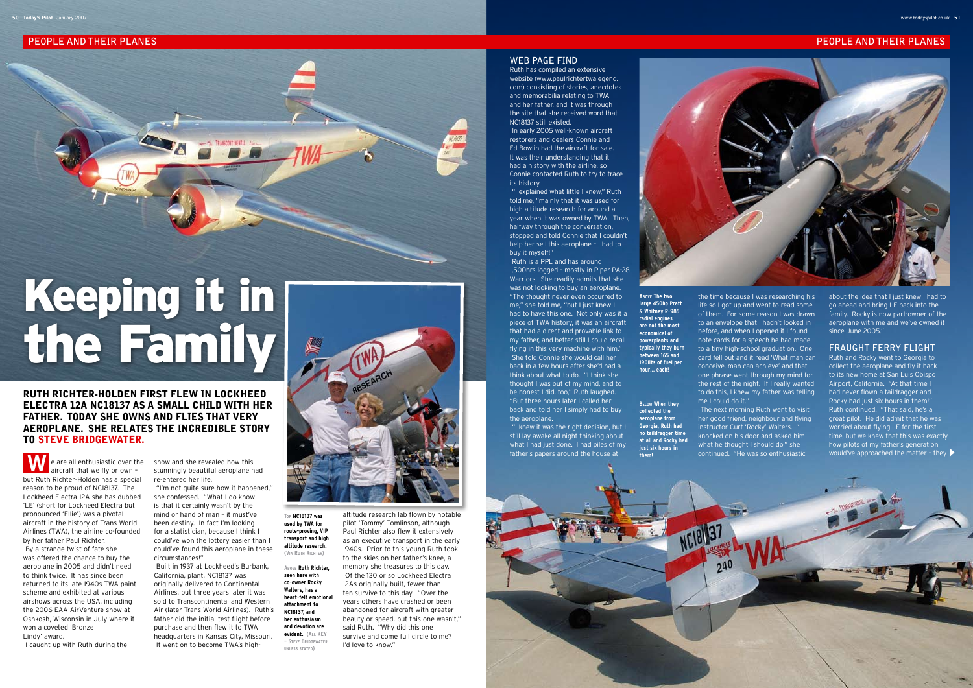**Below When they collected the aeroplane from Georgia, Ruth had no taildragger time at all and Rocky had just six hours in them!**

# **PEOPLE AND THEIR PLANES PEOPLE AND THEIR PLANES**

Built in 1937 at Lockheed's Burbank, California, plant, NC18137 was originally delivered to Continental Airlines, but three years later it was sold to Transcontinental and Western Air (later Trans World Airlines). Ruth's father did the initial test flight before purchase and then flew it to TWA headquarters in Kansas City, Missouri. It went on to become TWA's high-



I caught up with Ruth during the

show and she revealed how this stunningly beautiful aeroplane had re-entered her life.

"I'm not quite sure how it happened," she confessed. "What I do know is that it certainly wasn't by the mind or hand of man – it must've been destiny. In fact I'm looking for a statistician, because I think I could've won the lottery easier than I could've found this aeroplane in these circumstances!"

Ruth is a PPL and has around 1,500hrs logged – mostly in Piper PA-28 Warriors. She readily admits that she was not looking to buy an aeroplane. "The thought never even occurred to me," she told me, "but I just knew I had to have this one. Not only was it a piece of TWA history, it was an aircraft that had a direct and provable link to my father, and better still I could recall flying in this very machine with him." She told Connie she would call her back in a few hours after she'd had a think about what to do. "I think she thought I was out of my mind, and to be honest I did, too," Ruth laughed. "But three hours later I called her back and told her I simply had to buy the aeroplane

altitude research lab flown by notable pilot 'Tommy' Tomlinson, although Paul Richter also flew it extensively as an executive transport in the early 1940s. Prior to this young Ruth took to the skies on her father's knee, a memory she treasures to this day. Of the 130 or so Lockheed Electra 12As originally built, fewer than ten survive to this day. "Over the years others have crashed or been abandoned for aircraft with greater beauty or speed, but this one wasn't," said Ruth. "Why did this one survive and come full circle to me? I'd love to know."

## **Web Page Find**

Ruth has compiled an extensive website (www.paulrichtertwalegend. com) consisting of stories, anecdotes and memorabilia relating to TWA and her father, and it was through the site that she received word that NC18137 still existed.

In early 2005 well-known aircraft restorers and dealers Connie and Ed Bowlin had the aircraft for sale. It was their understanding that it had a history with the airline, so Connie contacted Ruth to try to trace its history.

e are all enthusiastic over the aircraft that we fly or own – but Ruth Richter-Holden has a special reason to be proud of NC18137. The Lockheed Electra 12A she has dubbed 'LE' (short for Lockheed Electra but pronounced 'Ellie') was a pivotal aircraft in the history of Trans World Airlines (TWA), the airline co-founded by her father Paul Richter. By a strange twist of fate she was offered the chance to buy the aeroplane in 2005 and didn't need to think twice. It has since been returned to its late 1940s TWA paint scheme and exhibited at various airshows across the USA, including the 2006 EAA AirVenture show at Oshkosh, Wisconsin in July where it won a coveted 'Bronze Lindy' award. W

"I explained what little I knew," Ruth told me, "mainly that it was used for high altitude research for around a year when it was owned by TWA. Then, halfway through the conversation, I stopped and told Connie that I couldn't help her sell this aeroplane – I had to buy it myself!"

"I knew it was the right decision, but I still lay awake all night thinking about what I had just done. I had piles of my father's papers around the house at



the time because I was researching his life so I got up and went to read some of them. For some reason I was drawn to an envelope that I hadn't looked in before, and when I opened it I found note cards for a speech he had made to a tiny high-school graduation. One card fell out and it read 'What man can conceive, man can achieve' and that one phrase went through my mind for the rest of the night. If I really wanted to do this, I knew my father was telling me I could do it."

The next morning Ruth went to visit her good friend, neighbour and flying instructor Curt 'Rocky' Walters. "I knocked on his door and asked him what he thought I should do," she continued. "He was so enthusiastic

about the idea that I just knew I had to go ahead and bring LE back into the family. Rocky is now part-owner of the aeroplane with me and we've owned it since June 2005<sup>\*</sup>

## **Fraught Ferry Flight**

Ruth and Rocky went to Georgia to collect the aeroplane and fly it back to its new home at San Luis Obispo Airport, California. "At that time I had never flown a taildragger and Rocky had just six hours in them!" Ruth continued. "That said, he's a great pilot. He did admit that he was worried about flying LE for the first time, but we knew that this was exactly how pilots of my father's generation would've approached the matter – they

# Keeping it in the Family

# Ruth Richter-Holden first flew in Lockheed Electra 12A NC18137 as a small child with her father. Today she owns and flies that very aeroplane. She relates the incredible story to Steve Bridgewater.

**Top NC18137 was used by TWA for route-proving, VIP transport and high altitude research. (Via Ruth Richter)**

**Above Ruth Richter, seen here with co-owner Rocky Walters, has a heart-felt emotional attachment to NC18137, and her enthusiasm and devotion are evident. (All KEY – Steve Bridgewater unless stated)**

**Above The two large 450hp Pratt & Whitney R-985 radial engines are not the most economical of powerplants and typically they burn between 165 and 190lits of fuel per hour… each!**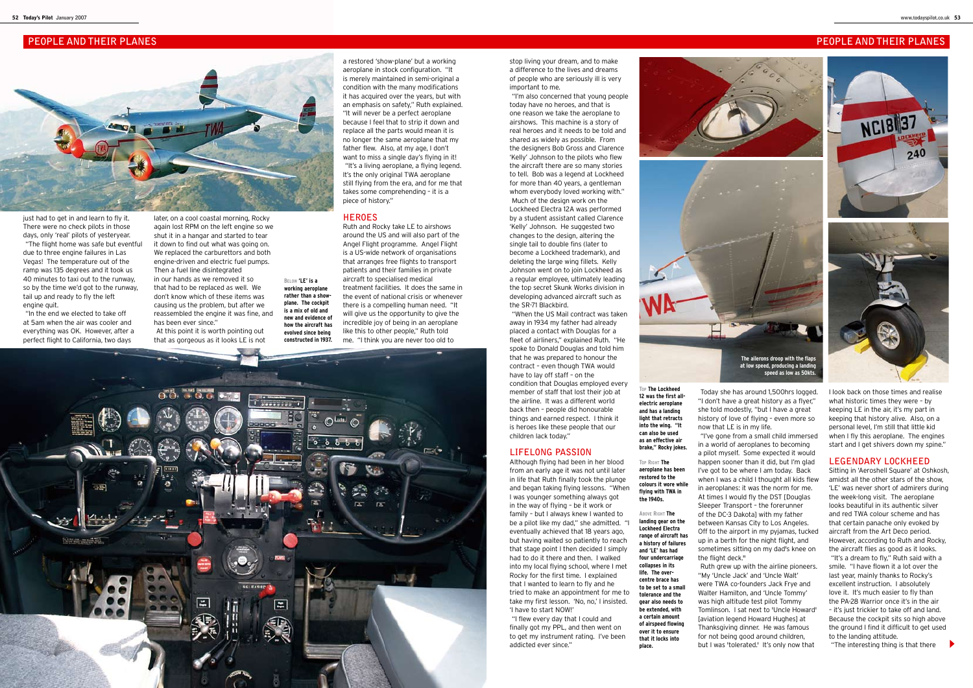**Below 'LE' is a working aeroplane rather than a showplane. The cockpit is a mix of old and new and evidence of how the aircraft has evolved since being constructed in 1937.**

> **Top The Lockheed 12 was the first allelectric aeroplane and has a landing light that retracts into the wing. "It can also be used as an effective air brake," Rocky jokes.**

**Top Right The aeroplane has been restored to the colours it wore while flying with TWA in the 1940s.**

just had to get in and learn to fly it. There were no check pilots in those days, only 'real' pilots of yesteryear. "The flight home was safe but eventful due to three engine failures in Las Vegas! The temperature out of the ramp was 135 degrees and it took us 40 minutes to taxi out to the runway, so by the time we'd got to the runway, tail up and ready to fly the left engine quit.

> **Above Right The landing gear on the Lockheed Electra range of aircraft has a history of failures and 'LE' has had four undercarriage collapses in its life. The overcentre brace has to be set to a small tolerance and the gear also needs to be extended, with a certain amount of airspeed flowing over it to ensure that it locks into place.**



# **PEOPLE AND THEIR PLANES PEOPLE AND THEIR PLANES**



"In the end we elected to take off at 5am when the air was cooler and everything was OK. However, after a perfect flight to California, two days

later, on a cool coastal morning, Rocky again lost RPM on the left engine so we shut it in a hangar and started to tear it down to find out what was going on. We replaced the carburettors and both engine-driven and electric fuel pumps. Then a fuel line disintegrated in our hands as we removed it so that had to be replaced as well. We don't know which of these items was causing us the problem, but after we reassembled the engine it was fine, and has been ever since." At this point it is worth pointing out

that as gorgeous as it looks LE is not

a restored 'show-plane' but a working aeroplane in stock configuration. "It is merely maintained in semi-original a condition with the many modifications it has acquired over the years, but with an emphasis on safety," Ruth explained. "It will never be a perfect aeroplane because I feel that to strip it down and replace all the parts would mean it is no longer the same aeroplane that my father flew. Also, at my age, I don't want to miss a single day's flying in it! "It's a living aeroplane, a flying legend. It's the only original TWA aeroplane still flying from the era, and for me that takes some comprehending – it is a piece of history."

### **Heroes**

Ruth and Rocky take LE to airshows around the US and will also part of the Angel Flight programme. Angel Flight is a US-wide network of organisations that arranges free flights to transport patients and their families in private aircraft to specialised medical treatment facilities. It does the same in the event of national crisis or whenever there is a compelling human need. "It will give us the opportunity to give the incredible joy of being in an aeroplane like this to other people," Ruth told me. "I think you are never too old to



stop living your dream, and to make a difference to the lives and dreams of people who are seriously ill is very important to me.

"I'm also concerned that young people today have no heroes, and that is one reason we take the aeroplane to airshows. This machine is a story of real heroes and it needs to be told and shared as widely as possible. From the designers Bob Gross and Clarence 'Kelly' Johnson to the pilots who flew the aircraft there are so many stories to tell. Bob was a legend at Lockheed for more than 40 years, a gentleman whom everybody loved working with." Much of the design work on the Lockheed Electra 12A was performed by a student assistant called Clarence 'Kelly' Johnson. He suggested two changes to the design, altering the single tail to double fins (later to become a Lockheed trademark), and deleting the large wing fillets. Kelly Johnson went on to join Lockheed as a regular employee, ultimately leading the top secret Skunk Works division in developing advanced aircraft such as the SR-71 Blackbird.

"When the US Mail contract was taken away in 1934 my father had already placed a contact with Douglas for a fleet of airliners," explained Ruth. "He spoke to Donald Douglas and told him that he was prepared to honour the contract – even though TWA would have to lay off staff – on the condition that Douglas employed every member of staff that lost their job at the airline. It was a different world back then – people did honourable things and earned respect. I think it is heroes like these people that our children lack today."

### **Lifelong Passion**

Although flying had been in her blood from an early age it was not until later in life that Ruth finally took the plunge and began taking flying lessons. "When I was younger something always got in the way of flying – be it work or family – but I always knew I wanted to be a pilot like my dad," she admitted. "I eventually achieved that 18 years ago, but having waited so patiently to reach that stage point I then decided I simply had to do it there and then. I walked into my local flying school, where I met Rocky for the first time. I explained that I wanted to learn to fly and he tried to make an appointment for me to take my first lesson. 'No, no,' I insisted. 'I have to start NOW!'

"I flew every day that I could and finally got my PPL, and then went on to get my instrument rating. I've been addicted ever since."



Today she has around 1,500hrs logged. "I don't have a great history as a flyer," she told modestly, "but I have a great history of love of flying – even more so

now that LE is in my life. the flight deck."

"I've gone from a small child immersed in a world of aeroplanes to becoming a pilot myself. Some expected it would happen sooner than it did, but I'm glad I've got to be where I am today. Back when I was a child I thought all kids flew in aeroplanes: it was the norm for me. At times I would fly the DST [Douglas Sleeper Transport – the forerunner of the DC-3 Dakota] with my father between Kansas City to Los Angeles. Off to the airport in my pyjamas, tucked up in a berth for the night flight, and sometimes sitting on my dad's knee on

Ruth grew up with the airline pioneers. "My 'Uncle Jack' and 'Uncle Walt' were TWA co-founders Jack Frye and Walter Hamilton, and 'Uncle Tommy' was high altitude test pilot Tommy Tomlinson. I sat next to 'Uncle Howard' [aviation legend Howard Hughes] at Thanksgiving dinner. He was famous for not being good around children, but I was 'tolerated.' It's only now that



I look back on those times and realise what historic times they were – by keeping LE in the air, it's my part in keeping that history alive. Also, on a personal level, I'm still that little kid when I fly this aeroplane. The engines start and I get shivers down my spine."

# **Legendary Lockheed**

Sitting in 'Aeroshell Square' at Oshkosh, amidst all the other stars of the show, 'LE' was never short of admirers during the week-long visit. The aeroplane looks beautiful in its authentic silver and red TWA colour scheme and has that certain panache only evoked by aircraft from the Art Deco period. However, according to Ruth and Rocky, the aircraft flies as good as it looks.

"It's a dream to fly," Ruth said with a smile. "I have flown it a lot over the last year, mainly thanks to Rocky's excellent instruction. I absolutely love it. It's much easier to fly than the PA-28 Warrior once it's in the air – it's just trickier to take off and land. Because the cockpit sits so high above the ground I find it difficult to get used to the landing attitude.

"The interesting thing is that there